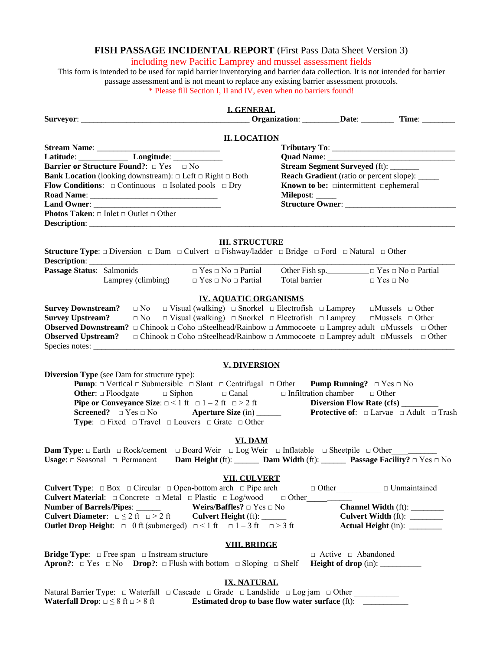## **FISH PASSAGE INCIDENTAL REPORT** (First Pass Data Sheet Version 3)

# including new Pacific Lamprey and mussel assessment fields

This form is intended to be used for rapid barrier inventorying and barrier data collection. It is not intended for barrier passage assessment and is not meant to replace any existing barrier assessment protocols. \* Please fill Section I, II and IV, even when no barriers found!

## **I. GENERAL**

|                           |                                                                                                                                                             |                                     | <u>L. GENERAL</u>                                                                                              |                                                         | <b>Commission Commission</b> Commission: <u>Commission Date: Commission Commission Commission Commission Commission Commis</u> |
|---------------------------|-------------------------------------------------------------------------------------------------------------------------------------------------------------|-------------------------------------|----------------------------------------------------------------------------------------------------------------|---------------------------------------------------------|--------------------------------------------------------------------------------------------------------------------------------|
|                           |                                                                                                                                                             |                                     | <b>II. LOCATION</b>                                                                                            |                                                         |                                                                                                                                |
|                           |                                                                                                                                                             |                                     |                                                                                                                |                                                         |                                                                                                                                |
|                           |                                                                                                                                                             |                                     |                                                                                                                |                                                         |                                                                                                                                |
|                           | <b>Barrier or Structure Found?</b> : □ Yes □ No                                                                                                             |                                     |                                                                                                                | <b>Stream Segment Surveyed</b> (ft): _______            |                                                                                                                                |
|                           | <b>Bank Location</b> (looking downstream): $\Box$ Left $\Box$ Right $\Box$ Both                                                                             |                                     |                                                                                                                | <b>Reach Gradient</b> (ratio or percent slope): _____   |                                                                                                                                |
|                           | <b>Flow Conditions:</b> $\Box$ Continuous $\Box$ Isolated pools $\Box$ Dry                                                                                  |                                     |                                                                                                                | Known to be: $\square$ intermittent $\square$ ephemeral |                                                                                                                                |
|                           |                                                                                                                                                             |                                     |                                                                                                                | Milepost: _____                                         |                                                                                                                                |
|                           | <b>Photos Taken:</b> $\Box$ Inlet $\Box$ Outlet $\Box$ Other                                                                                                |                                     |                                                                                                                |                                                         |                                                                                                                                |
|                           |                                                                                                                                                             |                                     |                                                                                                                |                                                         |                                                                                                                                |
|                           |                                                                                                                                                             |                                     |                                                                                                                |                                                         |                                                                                                                                |
|                           |                                                                                                                                                             |                                     | <b>III. STRUCTURE</b>                                                                                          |                                                         |                                                                                                                                |
|                           | <b>Structure Type:</b> $\Box$ Diversion $\Box$ Dam $\Box$ Culvert $\Box$ Fishway/ladder $\Box$ Bridge $\Box$ Ford $\Box$ Natural $\Box$ Other               |                                     |                                                                                                                |                                                         |                                                                                                                                |
|                           |                                                                                                                                                             |                                     |                                                                                                                |                                                         |                                                                                                                                |
| Passage Status: Salmonids |                                                                                                                                                             | $\Box$ Yes $\Box$ No $\Box$ Partial |                                                                                                                |                                                         |                                                                                                                                |
|                           | Lamprey (climbing) $\Box$ Yes $\Box$ No $\Box$ Partial                                                                                                      |                                     |                                                                                                                | Total barrier                                           | $\Box$ Yes $\Box$ No                                                                                                           |
|                           |                                                                                                                                                             |                                     |                                                                                                                |                                                         |                                                                                                                                |
|                           | <b>Survey Downstream?</b> $\Box$ No $\Box$ Visual (walking) $\Box$ Snorkel $\Box$ Electrofish $\Box$ Lamprey $\Box$ Mussels $\Box$ Other                    |                                     | <b>IV. AQUATIC ORGANISMS</b>                                                                                   |                                                         |                                                                                                                                |
| <b>Survey Upstream?</b>   |                                                                                                                                                             |                                     | $\Box$ No $\Box$ Visual (walking) $\Box$ Snorkel $\Box$ Electrofish $\Box$ Lamprey $\Box$ Mussels $\Box$ Other |                                                         |                                                                                                                                |
|                           | <b>Observed Downstream?</b> $\Box$ Chinook $\Box$ Coho $\Box$ Steelhead/Rainbow $\Box$ Ammocoete $\Box$ Lamprey adult $\Box$ Mussels $\Box$ Other           |                                     |                                                                                                                |                                                         |                                                                                                                                |
|                           | <b>Observed Upstream?</b> $\Box$ Chinook $\Box$ Coho $\Box$ Steelhead/Rainbow $\Box$ Ammocoete $\Box$ Lamprey adult $\Box$ Mussels $\Box$ Other             |                                     |                                                                                                                |                                                         |                                                                                                                                |
|                           |                                                                                                                                                             |                                     |                                                                                                                |                                                         |                                                                                                                                |
|                           |                                                                                                                                                             |                                     |                                                                                                                |                                                         |                                                                                                                                |
|                           |                                                                                                                                                             |                                     | <b>V. DIVERSION</b>                                                                                            |                                                         |                                                                                                                                |
|                           | <b>Diversion Type</b> (see Dam for structure type):                                                                                                         |                                     |                                                                                                                |                                                         |                                                                                                                                |
|                           | <b>Pump:</b> $\Box$ Vertical $\Box$ Submersible $\Box$ Slant $\Box$ Centrifugal $\Box$ Other <b>Pump Running?</b> $\Box$ Yes $\Box$ No                      |                                     |                                                                                                                |                                                         |                                                                                                                                |
|                           | <b>Other:</b> $\Box$ Floodgate $\Box$ Siphon $\Box$ Canal $\Box$ Infiltration chamber $\Box$ Other                                                          |                                     |                                                                                                                |                                                         |                                                                                                                                |
|                           | <b>Pipe or Conveyance Size:</b> $\Box$ < 1 ft $\Box$ 1 – 2 ft $\Box$ > 2 ft                                                                                 |                                     |                                                                                                                | Diversion Flow Rate (cfs) ______                        |                                                                                                                                |
|                           | <b>Screened?</b> $\Box$ Yes $\Box$ No <b>Aperture Size</b> (in) _______<br><b>Type:</b> $\Box$ Fixed $\Box$ Travel $\Box$ Louvers $\Box$ Grate $\Box$ Other |                                     |                                                                                                                |                                                         | <b>Protective of:</b> $\Box$ Larvae $\Box$ Adult $\Box$ Trash                                                                  |
|                           |                                                                                                                                                             |                                     |                                                                                                                |                                                         |                                                                                                                                |
|                           |                                                                                                                                                             |                                     | VI. DAM                                                                                                        |                                                         |                                                                                                                                |
|                           | Dam Type: □ Earth □ Rock/cement □ Board Weir □ Log Weir □ Inflatable □ Sheetpile □ Other                                                                    |                                     |                                                                                                                |                                                         |                                                                                                                                |
|                           | Usage: $\Box$ Seasonal $\Box$ Permanent Dam Height (ft): ________ Dam Width (ft): ________ Passage Facility? $\Box$ Yes $\Box$ No                           |                                     |                                                                                                                |                                                         |                                                                                                                                |
|                           |                                                                                                                                                             |                                     |                                                                                                                |                                                         |                                                                                                                                |
|                           |                                                                                                                                                             |                                     | <b>VII. CULVERT</b>                                                                                            |                                                         |                                                                                                                                |
|                           | <b>Culvert Type:</b> $\Box$ Box $\Box$ Circular $\Box$ Open-bottom arch $\Box$ Pipe arch                                                                    |                                     |                                                                                                                |                                                         | $\Box$ Other $\Box$ Unmaintained                                                                                               |
|                           | <b>Culvert Material:</b> $\Box$ Concrete $\Box$ Metal $\Box$ Plastic $\Box$ Log/wood                                                                        |                                     |                                                                                                                |                                                         |                                                                                                                                |
|                           | Number of Barrels/Pipes: ______                                                                                                                             | Weirs/Baffles? $\Box$ Yes $\Box$ No |                                                                                                                |                                                         | Channel Width (ft): _______                                                                                                    |
|                           | <b>Culvert Diameter:</b> $\Box \leq 2$ ft $\Box > 2$ ft                                                                                                     | <b>Culvert Height (ft):</b>         |                                                                                                                |                                                         | Culvert Width (ft): _______                                                                                                    |
|                           | <b>Outlet Drop Height:</b> $\Box$ 0 ft (submerged) $\Box$ < 1 ft $\Box$ 1 – 3 ft $\Box$ > 3 ft                                                              |                                     |                                                                                                                |                                                         | <b>Actual Height (in):</b> ________                                                                                            |
|                           |                                                                                                                                                             |                                     | <b>VIII. BRIDGE</b>                                                                                            |                                                         |                                                                                                                                |
|                           | <b>Bridge Type:</b> $\Box$ Free span $\Box$ Instream structure                                                                                              |                                     |                                                                                                                | $\Box$ Active $\Box$ Abandoned                          |                                                                                                                                |
|                           | <b>Apron?:</b> $\Box$ Yes $\Box$ No <b>Drop?:</b> $\Box$ Flush with bottom $\Box$ Sloping $\Box$ Shelf                                                      |                                     |                                                                                                                |                                                         |                                                                                                                                |
|                           |                                                                                                                                                             |                                     |                                                                                                                |                                                         |                                                                                                                                |
|                           |                                                                                                                                                             |                                     | <b>IX. NATURAL</b>                                                                                             |                                                         |                                                                                                                                |
|                           | Natural Barrier Type: □ Waterfall □ Cascade □ Grade □ Landslide □ Log jam □ Other                                                                           |                                     |                                                                                                                |                                                         |                                                                                                                                |
|                           | <b>Waterfall Drop:</b> $\Box \leq 8$ ft $\Box > 8$ ft                                                                                                       |                                     | Estimated drop to base flow water surface (ft): ________                                                       |                                                         |                                                                                                                                |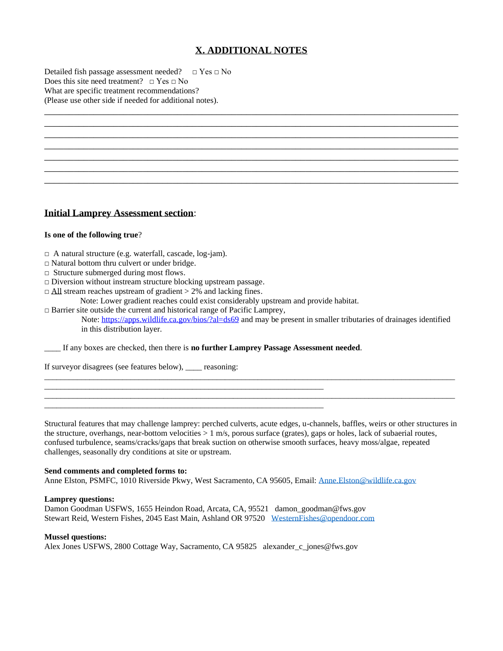# **X. ADDITIONAL NOTES**

\_\_\_\_\_\_\_\_\_\_\_\_\_\_\_\_\_\_\_\_\_\_\_\_\_\_\_\_\_\_\_\_\_\_\_\_\_\_\_\_\_\_\_\_\_\_\_\_\_\_\_\_\_\_\_\_\_\_\_\_\_\_\_\_\_\_\_\_\_\_\_\_\_\_\_\_\_\_\_\_\_\_\_\_ \_\_\_\_\_\_\_\_\_\_\_\_\_\_\_\_\_\_\_\_\_\_\_\_\_\_\_\_\_\_\_\_\_\_\_\_\_\_\_\_\_\_\_\_\_\_\_\_\_\_\_\_\_\_\_\_\_\_\_\_\_\_\_\_\_\_\_\_\_\_\_\_\_\_\_\_\_\_\_\_\_\_\_\_ \_\_\_\_\_\_\_\_\_\_\_\_\_\_\_\_\_\_\_\_\_\_\_\_\_\_\_\_\_\_\_\_\_\_\_\_\_\_\_\_\_\_\_\_\_\_\_\_\_\_\_\_\_\_\_\_\_\_\_\_\_\_\_\_\_\_\_\_\_\_\_\_\_\_\_\_\_\_\_\_\_\_\_\_ \_\_\_\_\_\_\_\_\_\_\_\_\_\_\_\_\_\_\_\_\_\_\_\_\_\_\_\_\_\_\_\_\_\_\_\_\_\_\_\_\_\_\_\_\_\_\_\_\_\_\_\_\_\_\_\_\_\_\_\_\_\_\_\_\_\_\_\_\_\_\_\_\_\_\_\_\_\_\_\_\_\_\_\_ \_\_\_\_\_\_\_\_\_\_\_\_\_\_\_\_\_\_\_\_\_\_\_\_\_\_\_\_\_\_\_\_\_\_\_\_\_\_\_\_\_\_\_\_\_\_\_\_\_\_\_\_\_\_\_\_\_\_\_\_\_\_\_\_\_\_\_\_\_\_\_\_\_\_\_\_\_\_\_\_\_\_\_\_ \_\_\_\_\_\_\_\_\_\_\_\_\_\_\_\_\_\_\_\_\_\_\_\_\_\_\_\_\_\_\_\_\_\_\_\_\_\_\_\_\_\_\_\_\_\_\_\_\_\_\_\_\_\_\_\_\_\_\_\_\_\_\_\_\_\_\_\_\_\_\_\_\_\_\_\_\_\_\_\_\_\_\_\_ \_\_\_\_\_\_\_\_\_\_\_\_\_\_\_\_\_\_\_\_\_\_\_\_\_\_\_\_\_\_\_\_\_\_\_\_\_\_\_\_\_\_\_\_\_\_\_\_\_\_\_\_\_\_\_\_\_\_\_\_\_\_\_\_\_\_\_\_\_\_\_\_\_\_\_\_\_\_\_\_\_\_\_\_

Detailed fish passage assessment needed?  $□$  Yes  $□$  No Does this site need treatment?  $\Box$  Yes  $\Box$  No What are specific treatment recommendations? (Please use other side if needed for additional notes).

## **Initial Lamprey Assessment section**:

#### **Is one of the following true**?

- □ A natural structure (e.g. waterfall, cascade, log-jam).
- □ Natural bottom thru culvert or under bridge.
- $\Box$  Structure submerged during most flows.
- $\Box$  Diversion without instream structure blocking upstream passage.
- $\Box$  All stream reaches upstream of gradient  $> 2\%$  and lacking fines.
	- Note: Lower gradient reaches could exist considerably upstream and provide habitat.
- $\Box$  Barrier site outside the current and historical range of Pacific Lamprey,

Note[: https://apps.wildlife.ca.gov/bios/?al=ds69](https://apps.wildlife.ca.gov/bios/?al=ds69) and may be present in smaller tributaries of drainages identified in this distribution layer.

\_\_\_\_ If any boxes are checked, then there is **no further Lamprey Passage Assessment needed**.

\_\_\_\_\_\_\_\_\_\_\_\_\_\_\_\_\_\_\_\_\_\_\_\_\_\_\_\_\_\_\_\_\_\_\_\_\_\_\_\_\_\_\_\_\_\_\_\_\_\_\_\_\_\_\_\_\_\_\_\_\_\_\_\_\_\_\_\_

\_\_\_\_\_\_\_\_\_\_\_\_\_\_\_\_\_\_\_\_\_\_\_\_\_\_\_\_\_\_\_\_\_\_\_\_\_\_\_\_\_\_\_\_\_\_\_\_\_\_\_\_\_\_\_\_\_\_\_\_\_\_\_\_\_\_\_\_

If surveyor disagrees (see features below), \_\_\_\_ reasoning:

Structural features that may challenge lamprey: perched culverts, acute edges, u-channels, baffles, weirs or other structures in the structure, overhangs, near-bottom velocities  $> 1$  m/s, porous surface (grates), gaps or holes, lack of subaerial routes, confused turbulence, seams/cracks/gaps that break suction on otherwise smooth surfaces, heavy moss/algae, repeated challenges, seasonally dry conditions at site or upstream.

\_\_\_\_\_\_\_\_\_\_\_\_\_\_\_\_\_\_\_\_\_\_\_\_\_\_\_\_\_\_\_\_\_\_\_\_\_\_\_\_\_\_\_\_\_\_\_\_\_\_\_\_\_\_\_\_\_\_\_\_\_\_\_\_\_\_\_\_\_\_\_\_\_\_\_\_\_\_\_\_\_\_\_\_\_\_\_\_\_\_\_\_\_\_\_\_\_\_\_\_

\_\_\_\_\_\_\_\_\_\_\_\_\_\_\_\_\_\_\_\_\_\_\_\_\_\_\_\_\_\_\_\_\_\_\_\_\_\_\_\_\_\_\_\_\_\_\_\_\_\_\_\_\_\_\_\_\_\_\_\_\_\_\_\_\_\_\_\_\_\_\_\_\_\_\_\_\_\_\_\_\_\_\_\_\_\_\_\_\_\_\_\_\_\_\_\_\_\_\_\_

#### **Send comments and completed forms to:**

Anne Elston, PSMFC, 1010 Riverside Pkwy, West Sacramento, CA 95605, Email: [Anne.Elston@wildlife.ca.gov](mailto:Anne.Elston@wildlife.ca.gov)

#### **Lamprey questions:**

Damon Goodman USFWS, 1655 Heindon Road, Arcata, CA, 95521 damon\_goodman@fws.gov Stewart Reid, Western Fishes, 2045 East Main, Ashland OR 97520 [WesternFishes@opendoor.com](mailto:WesternFishes@opendoor.com)

#### **Mussel questions:**

Alex Jones USFWS, 2800 Cottage Way, Sacramento, CA 95825 alexander\_c\_jones@fws.gov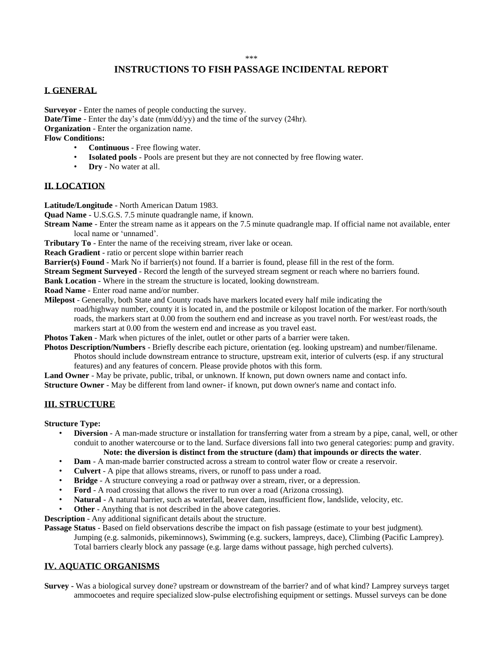## **INSTRUCTIONS TO FISH PASSAGE INCIDENTAL REPORT**

## **I. GENERAL**

**Surveyor** - Enter the names of people conducting the survey. **Date/Time** - Enter the day's date (mm/dd/yy) and the time of the survey (24hr). **Organization** - Enter the organization name. **Flow Conditions:**

- **Continuous** Free flowing water.
- **Isolated pools** Pools are present but they are not connected by free flowing water.
- **Dry** No water at all.

## **II. LOCATION**

**Latitude/Longitude** - North American Datum 1983.

**Quad Name** - U.S.G.S. 7.5 minute quadrangle name, if known.

**Stream Name** - Enter the stream name as it appears on the 7.5 minute quadrangle map. If official name not available, enter local name or 'unnamed'.

**Tributary To** - Enter the name of the receiving stream, river lake or ocean.

**Reach Gradient** - ratio or percent slope within barrier reach

**Barrier(s) Found** - Mark No if barrier(s) not found. If a barrier is found, please fill in the rest of the form.

**Stream Segment Surveyed** - Record the length of the surveyed stream segment or reach where no barriers found.

**Bank Location** - Where in the stream the structure is located, looking downstream.

**Road Name** - Enter road name and/or number.

**Milepost** - Generally, both State and County roads have markers located every half mile indicating the

road/highway number, county it is located in, and the postmile or kilopost location of the marker. For north/south roads, the markers start at 0.00 from the southern end and increase as you travel north. For west/east roads, the

markers start at 0.00 from the western end and increase as you travel east.

**Photos Taken** - Mark when pictures of the inlet, outlet or other parts of a barrier were taken.

**Photos Description/Numbers** - Briefly describe each picture, orientation (eg. looking upstream) and number/filename.

Photos should include downstream entrance to structure, upstream exit, interior of culverts (esp. if any structural features) and any features of concern. Please provide photos with this form.

**Land Owner** - May be private, public, tribal, or unknown. If known, put down owners name and contact info.

**Structure Owner** - May be different from land owner- if known, put down owner's name and contact info.

### **III. STRUCTURE**

**Structure Type:**

- **Diversion** A man-made structure or installation for transferring water from a stream by a pipe, canal, well, or other conduit to another watercourse or to the land. Surface diversions fall into two general categories: pump and gravity. **Note: the diversion is distinct from the structure (dam) that impounds or directs the water**.
- **Dam** A man-made barrier constructed across a stream to control water flow or create a reservoir.
- **Culvert** A pipe that allows streams, rivers, or runoff to pass under a road.
- **Bridge** A structure conveying a road or pathway over a stream, river, or a depression.
- **Ford** A road crossing that allows the river to run over a road (Arizona crossing).
- **Natural**  A natural barrier, such as waterfall, beaver dam, insufficient flow, landslide, velocity, etc.
- **Other** Anything that is not described in the above categories.

**Description** - Any additional significant details about the structure.

**Passage Status** - Based on field observations describe the impact on fish passage (estimate to your best judgment).

Jumping (e.g. salmonids, pikeminnows), Swimming (e.g. suckers, lampreys, dace), Climbing (Pacific Lamprey). Total barriers clearly block any passage (e.g. large dams without passage, high perched culverts).

### **IV. AQUATIC ORGANISMS**

**Survey -** Was a biological survey done? upstream or downstream of the barrier? and of what kind? Lamprey surveys target ammocoetes and require specialized slow-pulse electrofishing equipment or settings. Mussel surveys can be done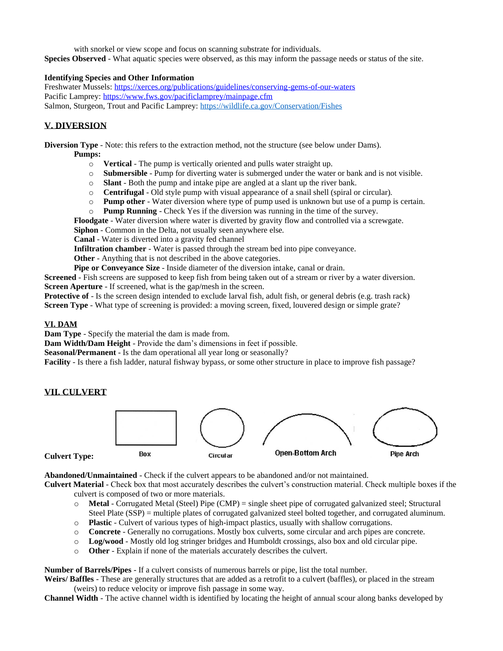with snorkel or view scope and focus on scanning substrate for individuals. **Species Observed** - What aquatic species were observed, as this may inform the passage needs or status of the site.

### **Identifying Species and Other Information**

Freshwater Mussels:<https://xerces.org/publications/guidelines/conserving-gems-of-our-waters> Pacific Lamprey[: https://www.fws.gov/pacificlamprey/mainpage.cfm](https://www.fws.gov/pacificlamprey/mainpage.cfm) Salmon, Sturgeon, Trout and Pacific Lamprey:<https://wildlife.ca.gov/Conservation/Fishes>

## **V. DIVERSION**

**Diversion Type** - Note: this refers to the extraction method, not the structure (see below under Dams).

#### **Pumps:**

- o **Vertical**  The pump is vertically oriented and pulls water straight up.
- **Submersible** Pump for diverting water is submerged under the water or bank and is not visible.
- o **Slant** Both the pump and intake pipe are angled at a slant up the river bank.
- o **Centrifugal** Old style pump with visual appearance of a snail shell (spiral or circular).
- o **Pump other**  Water diversion where type of pump used is unknown but use of a pump is certain.
- o **Pump Running**  Check Yes if the diversion was running in the time of the survey.

**Floodgate** - Water diversion where water is diverted by gravity flow and controlled via a screwgate.

**Siphon** - Common in the Delta, not usually seen anywhere else.

**Canal** - Water is diverted into a gravity fed channel

**Infiltration chamber** - Water is passed through the stream bed into pipe conveyance.

**Other** - Anything that is not described in the above categories.

**Pipe or Conveyance Size** - Inside diameter of the diversion intake, canal or drain.

**Screened** - Fish screens are supposed to keep fish from being taken out of a stream or river by a water diversion. **Screen Aperture** - If screened, what is the gap/mesh in the screen.

**Protective of** - Is the screen design intended to exclude larval fish, adult fish, or general debris (e.g. trash rack) **Screen Type** - What type of screening is provided: a moving screen, fixed, louvered design or simple grate?

## **VI. DAM**

**Dam Type** - Specify the material the dam is made from.

**Dam Width/Dam Height** - Provide the dam's dimensions in feet if possible.

**Seasonal/Permanent** - Is the dam operational all year long or seasonally?

**Facility** - Is there a fish ladder, natural fishway bypass, or some other structure in place to improve fish passage?

## **VII. CULVERT**

**Culvert Type:**



**Abandoned/Unmaintained** - Check if the culvert appears to be abandoned and/or not maintained.

**Culvert Material** - Check box that most accurately describes the culvert's construction material. Check multiple boxes if the culvert is composed of two or more materials.

- o **Metal** Corrugated Metal (Steel) Pipe (CMP) = single sheet pipe of corrugated galvanized steel; Structural Steel Plate (SSP) = multiple plates of corrugated galvanized steel bolted together, and corrugated aluminum.
- o **Plastic** Culvert of various types of high-impact plastics, usually with shallow corrugations.
- o **Concrete** Generally no corrugations. Mostly box culverts, some circular and arch pipes are concrete.
- o **Log/wood**  Mostly old log stringer bridges and Humboldt crossings, also box and old circular pipe.
- o **Other** Explain if none of the materials accurately describes the culvert.

**Number of Barrels/Pipes** - If a culvert consists of numerous barrels or pipe, list the total number.

**Weirs/ Baffles** - These are generally structures that are added as a retrofit to a culvert (baffles), or placed in the stream (weirs) to reduce velocity or improve fish passage in some way.

**Channel Width** - The active channel width is identified by locating the height of annual scour along banks developed by